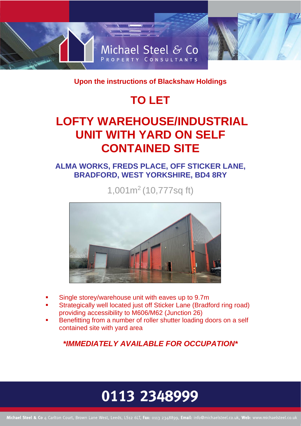

**Upon the instructions of Blackshaw Holdings** 

# **TO LET**

## **LOFTY WAREHOUSE/INDUSTRIAL UNIT WITH YARD ON SELF CONTAINED SITE**

### **ALMA WORKS, FREDS PLACE, OFF STICKER LANE, BRADFORD, WEST YORKSHIRE, BD4 8RY**

1,001m<sup>2</sup> (10,777sq ft)



- Single storey/warehouse unit with eaves up to 9.7m
- Strategically well located just off Sticker Lane (Bradford ring road) providing accessibility to M606/M62 (Junction 26)
- Benefitting from a number of roller shutter loading doors on a self contained site with yard area

*\*IMMEDIATELY AVAILABLE FOR OCCUPATION\**

# 0113 2348999

Michael Steel & Co 4 Carlton Court, Brown Lane West, Leeds, LS12 6LT, Fax: 0113 2348899, Email: info@michaelsteel.co.uk, Web: www.michaelsteel.co.uk